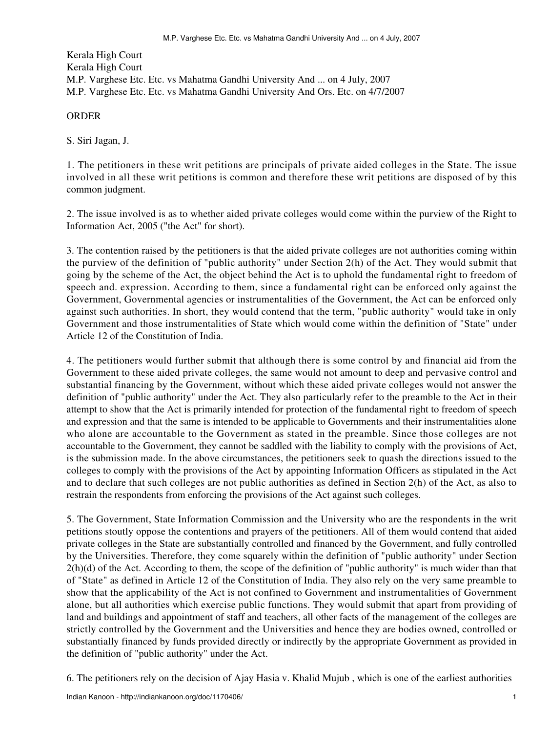Kerala High Court Kerala High Court M.P. Varghese Etc. Etc. vs Mahatma Gandhi University And ... on 4 July, 2007 M.P. Varghese Etc. Etc. vs Mahatma Gandhi University And Ors. Etc. on 4/7/2007

## **ORDER**

S. Siri Jagan, J.

1. The petitioners in these writ petitions are principals of private aided colleges in the State. The issue involved in all these writ petitions is common and therefore these writ petitions are disposed of by this common judgment.

2. The issue involved is as to whether aided private colleges would come within the purview of the Right to Information Act, 2005 ("the Act" for short).

3. The contention raised by the petitioners is that the aided private colleges are not authorities coming within the purview of the definition of "public authority" under Section 2(h) of the Act. They would submit that going by the scheme of the Act, the object behind the Act is to uphold the fundamental right to freedom of speech and. expression. According to them, since a fundamental right can be enforced only against the Government, Governmental agencies or instrumentalities of the Government, the Act can be enforced only against such authorities. In short, they would contend that the term, "public authority" would take in only Government and those instrumentalities of State which would come within the definition of "State" under Article 12 of the Constitution of India.

4. The petitioners would further submit that although there is some control by and financial aid from the Government to these aided private colleges, the same would not amount to deep and pervasive control and substantial financing by the Government, without which these aided private colleges would not answer the definition of "public authority" under the Act. They also particularly refer to the preamble to the Act in their attempt to show that the Act is primarily intended for protection of the fundamental right to freedom of speech and expression and that the same is intended to be applicable to Governments and their instrumentalities alone who alone are accountable to the Government as stated in the preamble. Since those colleges are not accountable to the Government, they cannot be saddled with the liability to comply with the provisions of Act, is the submission made. In the above circumstances, the petitioners seek to quash the directions issued to the colleges to comply with the provisions of the Act by appointing Information Officers as stipulated in the Act and to declare that such colleges are not public authorities as defined in Section 2(h) of the Act, as also to restrain the respondents from enforcing the provisions of the Act against such colleges.

5. The Government, State Information Commission and the University who are the respondents in the writ petitions stoutly oppose the contentions and prayers of the petitioners. All of them would contend that aided private colleges in the State are substantially controlled and financed by the Government, and fully controlled by the Universities. Therefore, they come squarely within the definition of "public authority" under Section  $2(h)(d)$  of the Act. According to them, the scope of the definition of "public authority" is much wider than that of "State" as defined in Article 12 of the Constitution of India. They also rely on the very same preamble to show that the applicability of the Act is not confined to Government and instrumentalities of Government alone, but all authorities which exercise public functions. They would submit that apart from providing of land and buildings and appointment of staff and teachers, all other facts of the management of the colleges are strictly controlled by the Government and the Universities and hence they are bodies owned, controlled or substantially financed by funds provided directly or indirectly by the appropriate Government as provided in the definition of "public authority" under the Act.

6. The petitioners rely on the decision of Ajay Hasia v. Khalid Mujub , which is one of the earliest authorities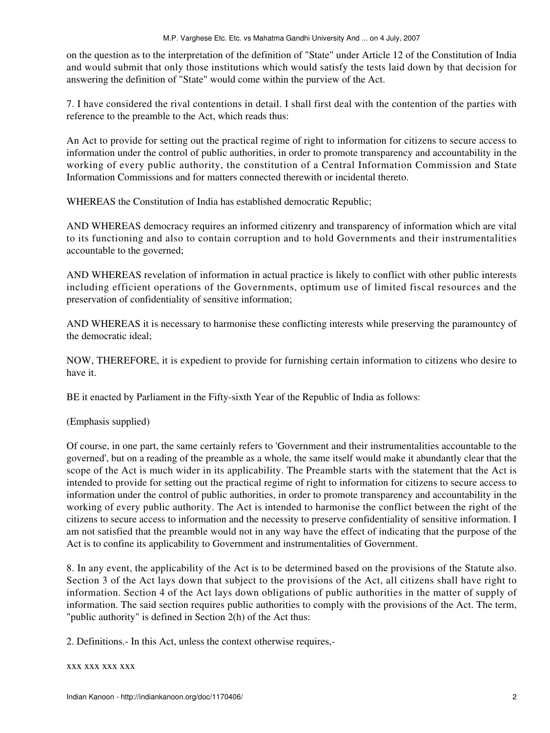on the question as to the interpretation of the definition of "State" under Article 12 of the Constitution of India and would submit that only those institutions which would satisfy the tests laid down by that decision for answering the definition of "State" would come within the purview of the Act.

7. I have considered the rival contentions in detail. I shall first deal with the contention of the parties with reference to the preamble to the Act, which reads thus:

An Act to provide for setting out the practical regime of right to information for citizens to secure access to information under the control of public authorities, in order to promote transparency and accountability in the working of every public authority, the constitution of a Central Information Commission and State Information Commissions and for matters connected therewith or incidental thereto.

WHEREAS the Constitution of India has established democratic Republic;

AND WHEREAS democracy requires an informed citizenry and transparency of information which are vital to its functioning and also to contain corruption and to hold Governments and their instrumentalities accountable to the governed;

AND WHEREAS revelation of information in actual practice is likely to conflict with other public interests including efficient operations of the Governments, optimum use of limited fiscal resources and the preservation of confidentiality of sensitive information;

AND WHEREAS it is necessary to harmonise these conflicting interests while preserving the paramountcy of the democratic ideal;

NOW, THEREFORE, it is expedient to provide for furnishing certain information to citizens who desire to have it.

BE it enacted by Parliament in the Fifty-sixth Year of the Republic of India as follows:

(Emphasis supplied)

Of course, in one part, the same certainly refers to 'Government and their instrumentalities accountable to the governed', but on a reading of the preamble as a whole, the same itself would make it abundantly clear that the scope of the Act is much wider in its applicability. The Preamble starts with the statement that the Act is intended to provide for setting out the practical regime of right to information for citizens to secure access to information under the control of public authorities, in order to promote transparency and accountability in the working of every public authority. The Act is intended to harmonise the conflict between the right of the citizens to secure access to information and the necessity to preserve confidentiality of sensitive information. I am not satisfied that the preamble would not in any way have the effect of indicating that the purpose of the Act is to confine its applicability to Government and instrumentalities of Government.

8. In any event, the applicability of the Act is to be determined based on the provisions of the Statute also. Section 3 of the Act lays down that subject to the provisions of the Act, all citizens shall have right to information. Section 4 of the Act lays down obligations of public authorities in the matter of supply of information. The said section requires public authorities to comply with the provisions of the Act. The term, "public authority" is defined in Section 2(h) of the Act thus:

2. Definitions.- In this Act, unless the context otherwise requires,-

## xxx xxx xxx xxx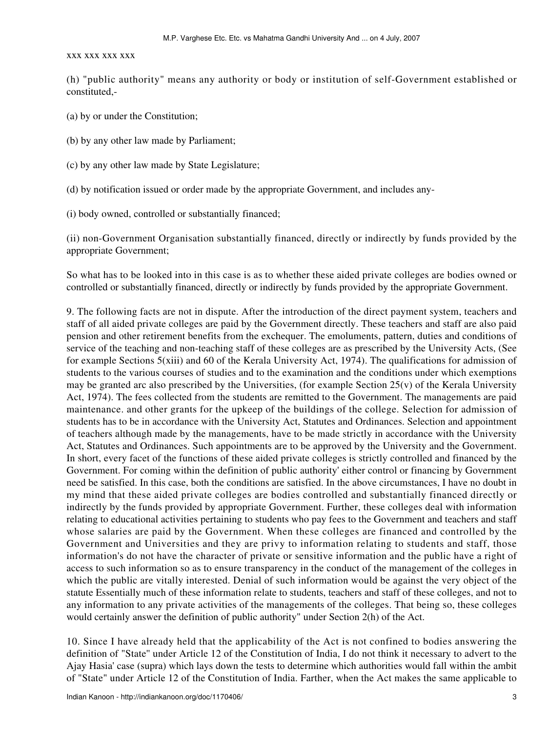## xxx xxx xxx xxx

(h) "public authority" means any authority or body or institution of self-Government established or constituted,-

- (a) by or under the Constitution;
- (b) by any other law made by Parliament;
- (c) by any other law made by State Legislature;
- (d) by notification issued or order made by the appropriate Government, and includes any-

(i) body owned, controlled or substantially financed;

(ii) non-Government Organisation substantially financed, directly or indirectly by funds provided by the appropriate Government;

So what has to be looked into in this case is as to whether these aided private colleges are bodies owned or controlled or substantially financed, directly or indirectly by funds provided by the appropriate Government.

9. The following facts are not in dispute. After the introduction of the direct payment system, teachers and staff of all aided private colleges are paid by the Government directly. These teachers and staff are also paid pension and other retirement benefits from the exchequer. The emoluments, pattern, duties and conditions of service of the teaching and non-teaching staff of these colleges are as prescribed by the University Acts, (See for example Sections 5(xiii) and 60 of the Kerala University Act, 1974). The qualifications for admission of students to the various courses of studies and to the examination and the conditions under which exemptions may be granted arc also prescribed by the Universities, (for example Section  $25(v)$  of the Kerala University Act, 1974). The fees collected from the students are remitted to the Government. The managements are paid maintenance. and other grants for the upkeep of the buildings of the college. Selection for admission of students has to be in accordance with the University Act, Statutes and Ordinances. Selection and appointment of teachers although made by the managements, have to be made strictly in accordance with the University Act, Statutes and Ordinances. Such appointments are to be approved by the University and the Government. In short, every facet of the functions of these aided private colleges is strictly controlled and financed by the Government. For coming within the definition of public authority' either control or financing by Government need be satisfied. In this case, both the conditions are satisfied. In the above circumstances, I have no doubt in my mind that these aided private colleges are bodies controlled and substantially financed directly or indirectly by the funds provided by appropriate Government. Further, these colleges deal with information relating to educational activities pertaining to students who pay fees to the Government and teachers and staff whose salaries are paid by the Government. When these colleges are financed and controlled by the Government and Universities and they are privy to information relating to students and staff, those information's do not have the character of private or sensitive information and the public have a right of access to such information so as to ensure transparency in the conduct of the management of the colleges in which the public are vitally interested. Denial of such information would be against the very object of the statute Essentially much of these information relate to students, teachers and staff of these colleges, and not to any information to any private activities of the managements of the colleges. That being so, these colleges would certainly answer the definition of public authority" under Section 2(h) of the Act.

10. Since I have already held that the applicability of the Act is not confined to bodies answering the definition of "State'' under Article 12 of the Constitution of India, I do not think it necessary to advert to the Ajay Hasia' case (supra) which lays down the tests to determine which authorities would fall within the ambit of "State" under Article 12 of the Constitution of India. Farther, when the Act makes the same applicable to